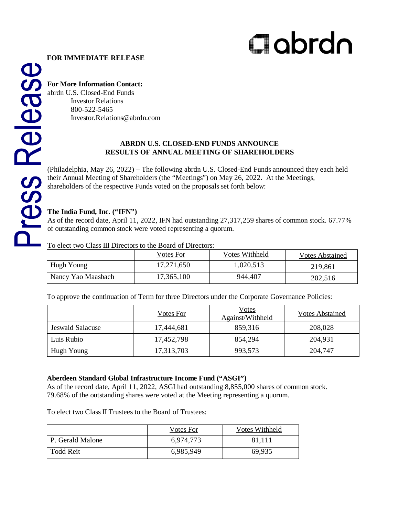# abrdn

### **FOR IMMEDIATE RELEASE**

# **For More Information Contact:**

abrdn U.S. Closed-End Funds Investor Relations 800-522-5465 Investor.Relations@abrdn.com

#### **ABRDN U.S. CLOSED-END FUNDS ANNOUNCE RESULTS OF ANNUAL MEETING OF SHAREHOLDERS**

(Philadelphia, May 26, 2022) – The following abrdn U.S. [Closed-End Funds](https://www.aberdeenstandard.com/en-us/cefinvestorcenter/fund-centre/closed-end-funds) announced they each held their Annual Meeting of Shareholders (the "Meetings") on May 26, 2022. At the Meetings, shareholders of the respective Funds voted on the proposals set forth below:

## **The India Fund, Inc. ("IFN")**

As of the record date, April 11, 2022, IFN had outstanding 27,317,259 shares of common stock. 67.77% of outstanding common stock were voted representing a quorum.

To elect two Class III Directors to the Board of Directors:

|                    | Votes For  | Votes Withheld | Votes Abstained |
|--------------------|------------|----------------|-----------------|
| Hugh Young         | 17,271,650 | 1,020,513      | 219,861         |
| Nancy Yao Maasbach | 17,365,100 | 944,407        | 202,516         |

To approve the continuation of Term for three Directors under the Corporate Governance Policies:

|                  | Votes For  | Votes<br>Against/Withheld | Votes Abstained |
|------------------|------------|---------------------------|-----------------|
| Jeswald Salacuse | 17,444,681 | 859,316                   | 208,028         |
| Luis Rubio-      | 17,452,798 | 854,294                   | 204,931         |
| Hugh Young       | 17,313,703 | 993,573                   | 204,747         |

## **Aberdeen Standard Global Infrastructure Income Fund ("ASGI")**

As of the record date, April 11, 2022, ASGI had outstanding 8,855,000 shares of common stock. 79.68% of the outstanding shares were voted at the Meeting representing a quorum.

To elect two Class II Trustees to the Board of Trustees:

|                  | Votes For | Votes Withheld |
|------------------|-----------|----------------|
| P. Gerald Malone | 6.974.773 | 81.111         |
| Todd Reit        | 6,985,949 | 69.935         |